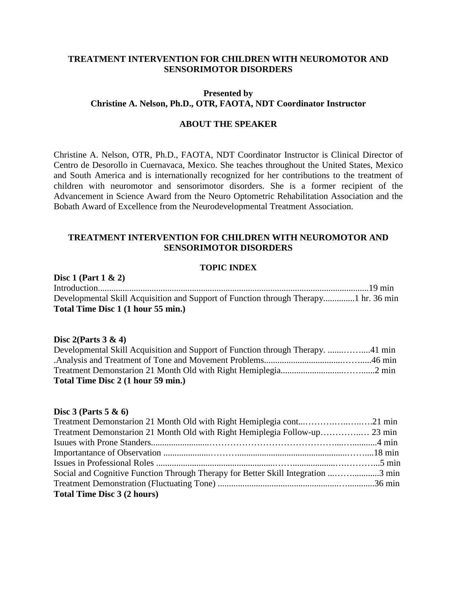# **TREATMENT INTERVENTION FOR CHILDREN WITH NEUROMOTOR AND SENSORIMOTOR DISORDERS**

# **Presented by Christine A. Nelson, Ph.D., OTR, FAOTA, NDT Coordinator Instructor**

#### **ABOUT THE SPEAKER**

Christine A. Nelson, OTR, Ph.D., FAOTA, NDT Coordinator Instructor is Clinical Director of Centro de Desorollo in Cuernavaca, Mexico. She teaches throughout the United States, Mexico and South America and is internationally recognized for her contributions to the treatment of children with neuromotor and sensorimotor disorders. She is a former recipient of the Advancement in Science Award from the Neuro Optometric Rehabilitation Association and the Bobath Award of Excellence from the Neurodevelopmental Treatment Association.

## **TREATMENT INTERVENTION FOR CHILDREN WITH NEUROMOTOR AND SENSORIMOTOR DISORDERS**

### **TOPIC INDEX**

| Disc 1 (Part $1 \& 2$ )                                                             |  |
|-------------------------------------------------------------------------------------|--|
|                                                                                     |  |
| Developmental Skill Acquisition and Support of Function through Therapy1 hr. 36 min |  |
| Total Time Disc 1 (1 hour 55 min.)                                                  |  |

#### **Disc 2(Parts 3 & 4)**

| Developmental Skill Acquisition and Support of Function through Therapy. 41 min |  |
|---------------------------------------------------------------------------------|--|
|                                                                                 |  |
|                                                                                 |  |
| Total Time Disc 2 (1 hour 59 min.)                                              |  |

#### **Disc 3 (Parts 5 & 6)**

| Treatment Demonstarion 21 Month Old with Right Hemiplegia cont21 min             |
|----------------------------------------------------------------------------------|
|                                                                                  |
|                                                                                  |
|                                                                                  |
|                                                                                  |
| Social and Cognitive Function Through Therapy for Better Skill Integration 3 min |
|                                                                                  |
|                                                                                  |
|                                                                                  |